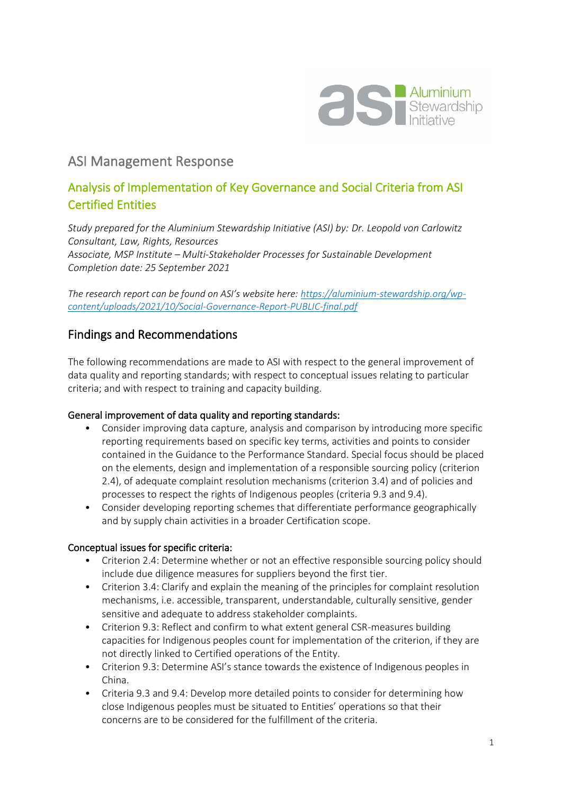

# ASI Management Response

## Analysis of Implementation of Key Governance and Social Criteria from ASI Certified Entities

*Study prepared for the Aluminium Stewardship Initiative (ASI) by: Dr. Leopold von Carlowitz Consultant, Law, Rights, Resources Associate, MSP Institute – Multi-Stakeholder Processes for Sustainable Development Completion date: 25 September 2021*

*The research report can be found on ASI's website here: [https://aluminium-stewardship.org/wp](https://aluminium-stewardship.org/wp-content/uploads/2021/10/Social-Governance-Report-PUBLIC-final.pdf)[content/uploads/2021/10/Social-Governance-Report-PUBLIC-final.pdf](https://aluminium-stewardship.org/wp-content/uploads/2021/10/Social-Governance-Report-PUBLIC-final.pdf)*

### Findings and Recommendations

The following recommendations are made to ASI with respect to the general improvement of data quality and reporting standards; with respect to conceptual issues relating to particular criteria; and with respect to training and capacity building.

#### General improvement of data quality and reporting standards:

- Consider improving data capture, analysis and comparison by introducing more specific reporting requirements based on specific key terms, activities and points to consider contained in the Guidance to the Performance Standard. Special focus should be placed on the elements, design and implementation of a responsible sourcing policy (criterion 2.4), of adequate complaint resolution mechanisms (criterion 3.4) and of policies and processes to respect the rights of Indigenous peoples (criteria 9.3 and 9.4).
- Consider developing reporting schemes that differentiate performance geographically and by supply chain activities in a broader Certification scope.

#### Conceptual issues for specific criteria:

- Criterion 2.4: Determine whether or not an effective responsible sourcing policy should include due diligence measures for suppliers beyond the first tier.
- Criterion 3.4: Clarify and explain the meaning of the principles for complaint resolution mechanisms, i.e. accessible, transparent, understandable, culturally sensitive, gender sensitive and adequate to address stakeholder complaints.
- Criterion 9.3: Reflect and confirm to what extent general CSR-measures building capacities for Indigenous peoples count for implementation of the criterion, if they are not directly linked to Certified operations of the Entity.
- Criterion 9.3: Determine ASI's stance towards the existence of Indigenous peoples in China.
- Criteria 9.3 and 9.4: Develop more detailed points to consider for determining how close Indigenous peoples must be situated to Entities' operations so that their concerns are to be considered for the fulfillment of the criteria.